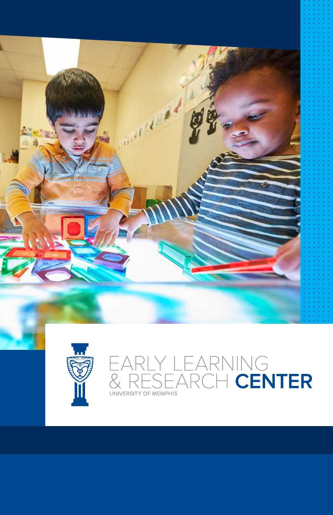



### EARLY LEARNING<br>& RESEARCH **CENTER** UNIVERSITY OF MEMPHIS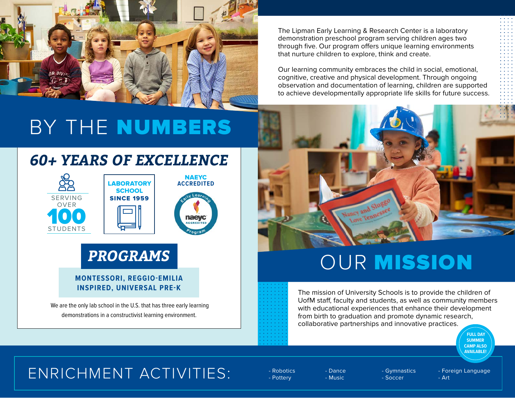

The Lipman Early Learning & Research Center is a laboratory demonstration preschool program serving children ages two through five. Our program offers unique learning environments that nurture children to explore, think and create.

Our learning community embraces the child in social, emotional, cognitive, creative and physical development. Through ongoing observation and documentation of learning, children are supported to achieve developmentally appropriate life skills for future success.

# BY THE NUMBERS

### *60+ YEARS OF EXCELLENCE*





## *PROGRAMS*

#### **MONTESSORI, REGGIO-EMILIA INSPIRED, UNIVERSAL PRE-K**

 We are the only lab school in the U.S. that has three early learning demonstrations in a constructivist learning environment.



# OUR MISSION

The mission of University Schools is to provide the children of UofM staff, faculty and students, as well as community members with educational experiences that enhance their development from birth to graduation and promote dynamic research, collaborative partnerships and innovative practices.



## ENRICHMENT ACTIVITIES: FROBOTIGE

- Pottery

- Dance - Music

- Gymnastics - Soccer

- Foreign Language - Art